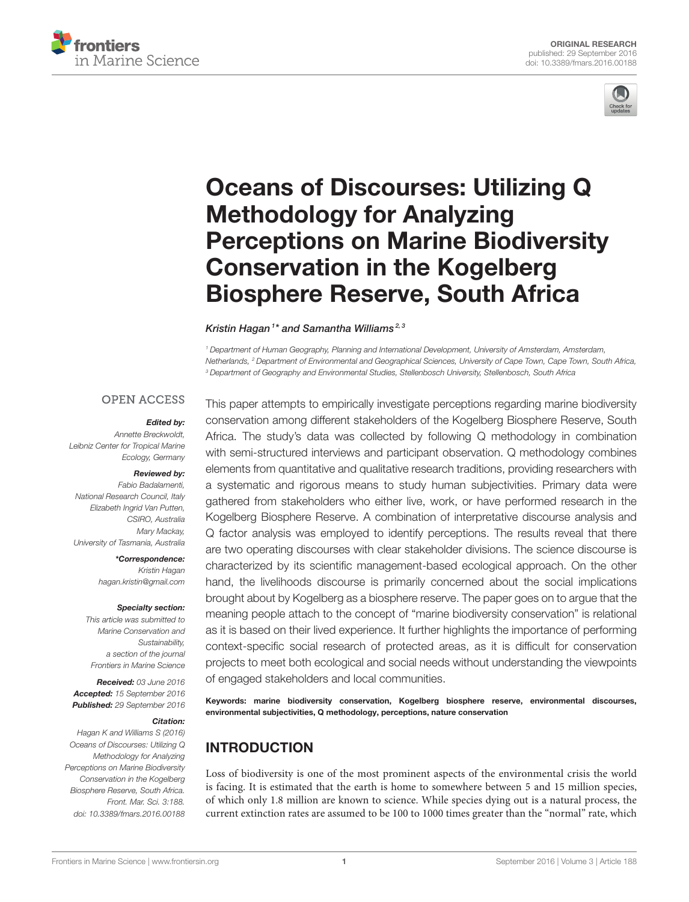



# Oceans of Discourses: Utilizing Q Methodology for Analyzing [Perceptions on Marine Biodiversity](http://journal.frontiersin.org/article/10.3389/fmars.2016.00188/abstract) Conservation in the Kogelberg Biosphere Reserve, South Africa

[Kristin Hagan](http://loop.frontiersin.org/people/288948/overview)1\* and [Samantha Williams](http://loop.frontiersin.org/people/379745/overview)<sup>2,3</sup>

*<sup>1</sup> Department of Human Geography, Planning and International Development, University of Amsterdam, Amsterdam, Netherlands, <sup>2</sup> Department of Environmental and Geographical Sciences, University of Cape Town, Cape Town, South Africa, <sup>3</sup> Department of Geography and Environmental Studies, Stellenbosch University, Stellenbosch, South Africa*

#### **OPEN ACCESS**

#### Edited by:

*Annette Breckwoldt, Leibniz Center for Tropical Marine Ecology, Germany*

#### Reviewed by:

*Fabio Badalamenti, National Research Council, Italy Elizabeth Ingrid Van Putten, CSIRO, Australia Mary Mackay, University of Tasmania, Australia*

> \*Correspondence: *Kristin Hagan [hagan.kristin@gmail.com](mailto:hagan.kristin@gmail.com)*

#### Specialty section:

*This article was submitted to Marine Conservation and Sustainability, a section of the journal Frontiers in Marine Science*

Received: *03 June 2016* Accepted: *15 September 2016* Published: *29 September 2016*

#### Citation:

*Hagan K and Williams S (2016) Oceans of Discourses: Utilizing Q Methodology for Analyzing Perceptions on Marine Biodiversity Conservation in the Kogelberg Biosphere Reserve, South Africa. Front. Mar. Sci. 3:188. doi: [10.3389/fmars.2016.00188](http://dx.doi.org/10.3389/fmars.2016.00188)*

This paper attempts to empirically investigate perceptions regarding marine biodiversity conservation among different stakeholders of the Kogelberg Biosphere Reserve, South Africa. The study's data was collected by following Q methodology in combination with semi-structured interviews and participant observation. Q methodology combines elements from quantitative and qualitative research traditions, providing researchers with a systematic and rigorous means to study human subjectivities. Primary data were gathered from stakeholders who either live, work, or have performed research in the Kogelberg Biosphere Reserve. A combination of interpretative discourse analysis and Q factor analysis was employed to identify perceptions. The results reveal that there are two operating discourses with clear stakeholder divisions. The science discourse is characterized by its scientific management-based ecological approach. On the other hand, the livelihoods discourse is primarily concerned about the social implications brought about by Kogelberg as a biosphere reserve. The paper goes on to argue that the meaning people attach to the concept of "marine biodiversity conservation" is relational as it is based on their lived experience. It further highlights the importance of performing context-specific social research of protected areas, as it is difficult for conservation projects to meet both ecological and social needs without understanding the viewpoints of engaged stakeholders and local communities.

Keywords: marine biodiversity conservation, Kogelberg biosphere reserve, environmental discourses, environmental subjectivities, Q methodology, perceptions, nature conservation

## INTRODUCTION

Loss of biodiversity is one of the most prominent aspects of the environmental crisis the world is facing. It is estimated that the earth is home to somewhere between 5 and 15 million species, of which only 1.8 million are known to science. While species dying out is a natural process, the current extinction rates are assumed to be 100 to 1000 times greater than the "normal" rate, which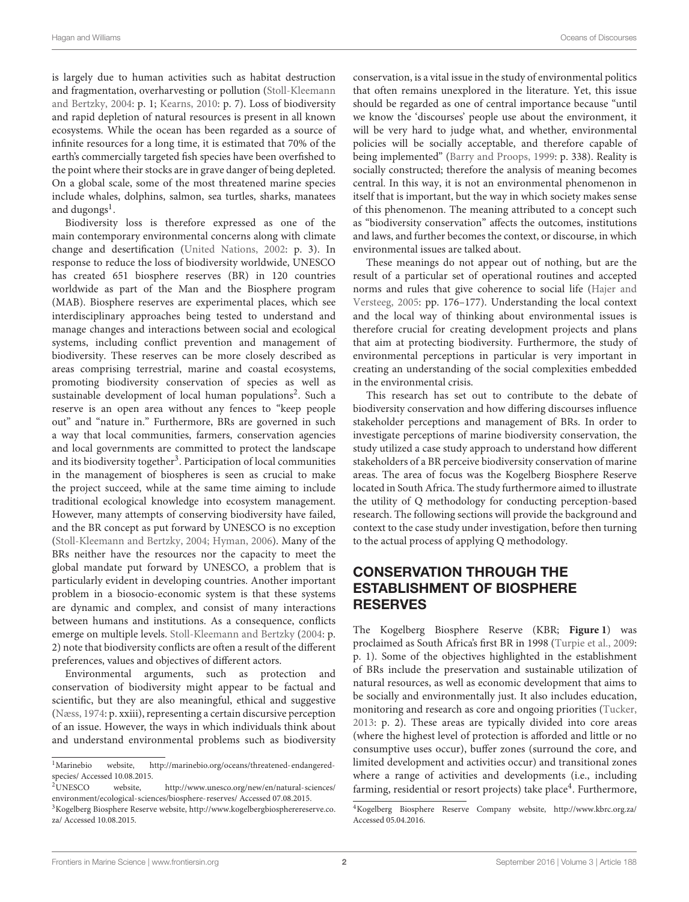is largely due to human activities such as habitat destruction and fragmentation, overharvesting or pollution (Stoll-Kleemann and Bertzky, [2004:](#page-12-0) p. 1; [Kearns, 2010:](#page-12-1) p. 7). Loss of biodiversity and rapid depletion of natural resources is present in all known ecosystems. While the ocean has been regarded as a source of infinite resources for a long time, it is estimated that 70% of the earth's commercially targeted fish species have been overfished to the point where their stocks are in grave danger of being depleted. On a global scale, some of the most threatened marine species include whales, dolphins, salmon, sea turtles, sharks, manatees and dugongs<sup>[1](#page-1-0)</sup>.

Biodiversity loss is therefore expressed as one of the main contemporary environmental concerns along with climate change and desertification [\(United Nations, 2002:](#page-12-2) p. 3). In response to reduce the loss of biodiversity worldwide, UNESCO has created 651 biosphere reserves (BR) in 120 countries worldwide as part of the Man and the Biosphere program (MAB). Biosphere reserves are experimental places, which see interdisciplinary approaches being tested to understand and manage changes and interactions between social and ecological systems, including conflict prevention and management of biodiversity. These reserves can be more closely described as areas comprising terrestrial, marine and coastal ecosystems, promoting biodiversity conservation of species as well as sustainable development of local human populations<sup>[2](#page-1-1)</sup>. Such a reserve is an open area without any fences to "keep people out" and "nature in." Furthermore, BRs are governed in such a way that local communities, farmers, conservation agencies and local governments are committed to protect the landscape and its biodiversity together<sup>[3](#page-1-2)</sup>. Participation of local communities in the management of biospheres is seen as crucial to make the project succeed, while at the same time aiming to include traditional ecological knowledge into ecosystem management. However, many attempts of conserving biodiversity have failed, and the BR concept as put forward by UNESCO is no exception [\(Stoll-Kleemann and Bertzky, 2004;](#page-12-0) [Hyman, 2006\)](#page-12-3). Many of the BRs neither have the resources nor the capacity to meet the global mandate put forward by UNESCO, a problem that is particularly evident in developing countries. Another important problem in a biosocio-economic system is that these systems are dynamic and complex, and consist of many interactions between humans and institutions. As a consequence, conflicts emerge on multiple levels. [Stoll-Kleemann and Bertzky](#page-12-0) [\(2004:](#page-12-0) p. 2) note that biodiversity conflicts are often a result of the different preferences, values and objectives of different actors.

Environmental arguments, such as protection and conservation of biodiversity might appear to be factual and scientific, but they are also meaningful, ethical and suggestive [\(Næss, 1974:](#page-12-4) p. xxiii), representing a certain discursive perception of an issue. However, the ways in which individuals think about and understand environmental problems such as biodiversity

<span id="page-1-1"></span>website, [http://www.unesco.org/new/en/natural-sciences/](http://www.unesco.org/new/en/natural-sciences/environment/ecological-sciences/biosphere-reserves/) [environment/ecological-sciences/biosphere-reserves/](http://www.unesco.org/new/en/natural-sciences/environment/ecological-sciences/biosphere-reserves/) Accessed 07.08.2015.

conservation, is a vital issue in the study of environmental politics that often remains unexplored in the literature. Yet, this issue should be regarded as one of central importance because "until we know the 'discourses' people use about the environment, it will be very hard to judge what, and whether, environmental policies will be socially acceptable, and therefore capable of being implemented" [\(Barry and Proops, 1999:](#page-12-5) p. 338). Reality is socially constructed; therefore the analysis of meaning becomes central. In this way, it is not an environmental phenomenon in itself that is important, but the way in which society makes sense of this phenomenon. The meaning attributed to a concept such as "biodiversity conservation" affects the outcomes, institutions and laws, and further becomes the context, or discourse, in which environmental issues are talked about.

These meanings do not appear out of nothing, but are the result of a particular set of operational routines and accepted norms and rules that give coherence to social life (Hajer and Versteeg, [2005:](#page-12-6) pp. 176–177). Understanding the local context and the local way of thinking about environmental issues is therefore crucial for creating development projects and plans that aim at protecting biodiversity. Furthermore, the study of environmental perceptions in particular is very important in creating an understanding of the social complexities embedded in the environmental crisis.

This research has set out to contribute to the debate of biodiversity conservation and how differing discourses influence stakeholder perceptions and management of BRs. In order to investigate perceptions of marine biodiversity conservation, the study utilized a case study approach to understand how different stakeholders of a BR perceive biodiversity conservation of marine areas. The area of focus was the Kogelberg Biosphere Reserve located in South Africa. The study furthermore aimed to illustrate the utility of Q methodology for conducting perception-based research. The following sections will provide the background and context to the case study under investigation, before then turning to the actual process of applying Q methodology.

## CONSERVATION THROUGH THE ESTABLISHMENT OF BIOSPHERE RESERVES

The Kogelberg Biosphere Reserve (KBR; **[Figure 1](#page-2-0)**) was proclaimed as South Africa's first BR in 1998 [\(Turpie et al., 2009:](#page-12-7) p. 1). Some of the objectives highlighted in the establishment of BRs include the preservation and sustainable utilization of natural resources, as well as economic development that aims to be socially and environmentally just. It also includes education, monitoring and research as core and ongoing priorities [\(Tucker,](#page-12-8) [2013:](#page-12-8) p. 2). These areas are typically divided into core areas (where the highest level of protection is afforded and little or no consumptive uses occur), buffer zones (surround the core, and limited development and activities occur) and transitional zones where a range of activities and developments (i.e., including farming, residential or resort projects) take place<sup>[4](#page-1-3)</sup>. Furthermore,

<span id="page-1-0"></span><sup>1</sup>Marinebio website, [http://marinebio.org/oceans/threatened-endangered](http://marinebio.org/oceans/threatened-endangered-species/)[species/](http://marinebio.org/oceans/threatened-endangered-species/) Accessed 10.08.2015.<br><sup>2</sup>UNESCO website,

<span id="page-1-2"></span><sup>3</sup>Kogelberg Biosphere Reserve website, [http://www.kogelbergbiospherereserve.co.](http://www.kogelbergbiospherereserve.co.za/) [za/](http://www.kogelbergbiospherereserve.co.za/) Accessed 10.08.2015.

<span id="page-1-3"></span><sup>4</sup>Kogelberg Biosphere Reserve Company website,<http://www.kbrc.org.za/> Accessed 05.04.2016.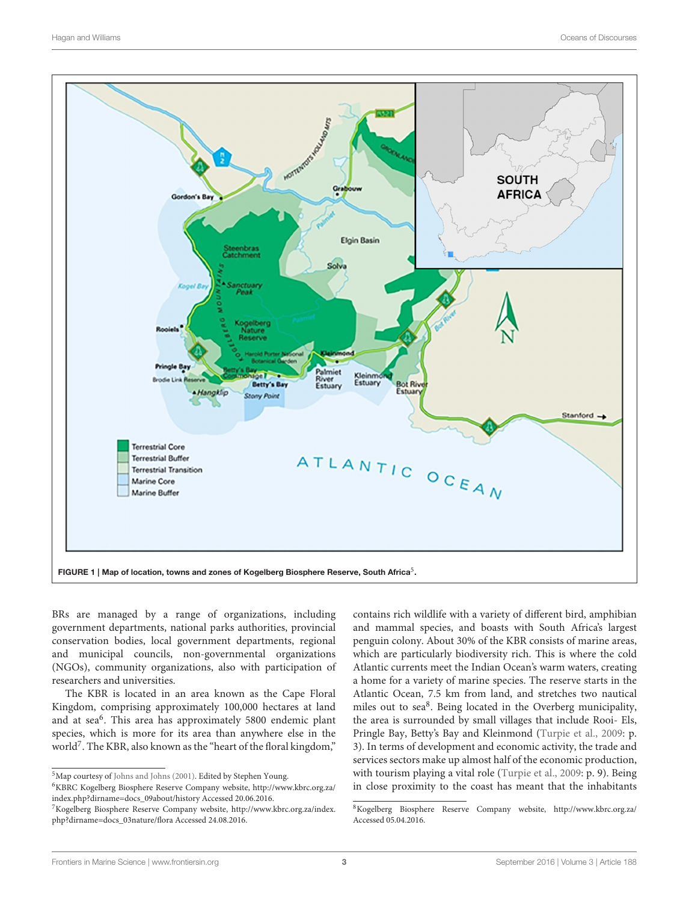

<span id="page-2-0"></span>BRs are managed by a range of organizations, including government departments, national parks authorities, provincial conservation bodies, local government departments, regional and municipal councils, non-governmental organizations (NGOs), community organizations, also with participation of researchers and universities.

The KBR is located in an area known as the Cape Floral Kingdom, comprising approximately 100,000 hectares at land and at sea<sup>[6](#page-2-1)</sup>. This area has approximately 5800 endemic plant species, which is more for its area than anywhere else in the world<sup>[7](#page-2-2)</sup>. The KBR, also known as the "heart of the floral kingdom,"

contains rich wildlife with a variety of different bird, amphibian and mammal species, and boasts with South Africa's largest penguin colony. About 30% of the KBR consists of marine areas, which are particularly biodiversity rich. This is where the cold Atlantic currents meet the Indian Ocean's warm waters, creating a home for a variety of marine species. The reserve starts in the Atlantic Ocean, 7.5 km from land, and stretches two nautical miles out to sea<sup>[8](#page-2-3)</sup>. Being located in the Overberg municipality, the area is surrounded by small villages that include Rooi- Els, Pringle Bay, Betty's Bay and Kleinmond [\(Turpie et al., 2009:](#page-12-7) p. 3). In terms of development and economic activity, the trade and services sectors make up almost half of the economic production, with tourism playing a vital role [\(Turpie et al., 2009:](#page-12-7) p. 9). Being in close proximity to the coast has meant that the inhabitants

<sup>5</sup>Map courtesy of [Johns and Johns \(2001\)](#page-12-9). Edited by Stephen Young.

<span id="page-2-1"></span><sup>6</sup>KBRC Kogelberg Biosphere Reserve Company website, [http://www.kbrc.org.za/](http://www.kbrc.org.za/index.php?dirname=docs_09about/history) [index.php?dirname=docs\\_09about/history](http://www.kbrc.org.za/index.php?dirname=docs_09about/history) Accessed 20.06.2016.

<span id="page-2-2"></span><sup>7</sup>Kogelberg Biosphere Reserve Company website, [http://www.kbrc.org.za/index.](http://www.kbrc.org.za/index.php?dirname=docs_03nature/flora) [php?dirname=docs\\_03nature/flora](http://www.kbrc.org.za/index.php?dirname=docs_03nature/flora) Accessed 24.08.2016.

<span id="page-2-3"></span><sup>8</sup>Kogelberg Biosphere Reserve Company website,<http://www.kbrc.org.za/> Accessed 05.04.2016.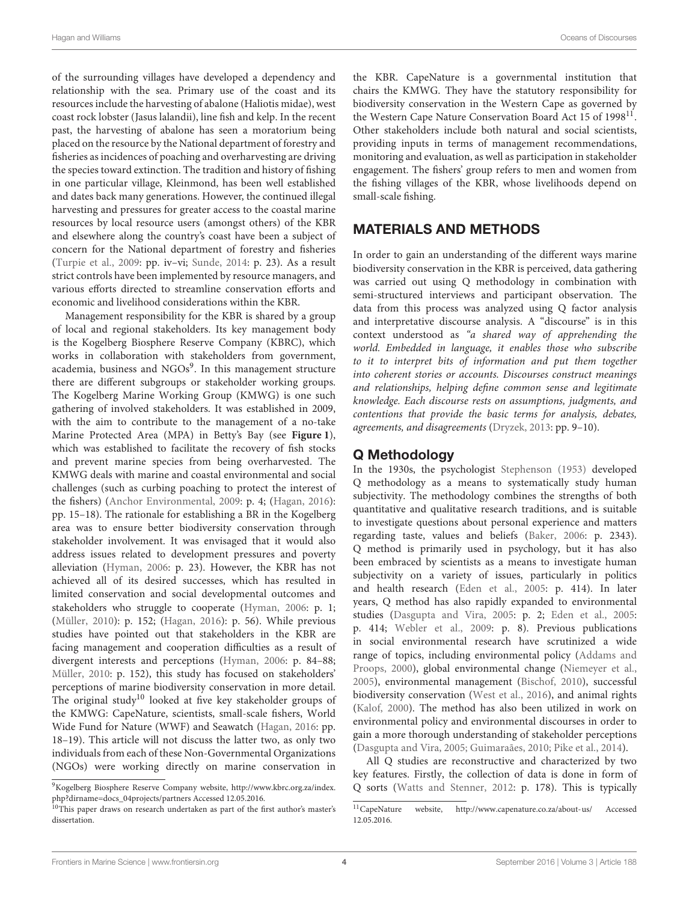of the surrounding villages have developed a dependency and relationship with the sea. Primary use of the coast and its resources include the harvesting of abalone (Haliotis midae), west coast rock lobster (Jasus lalandii), line fish and kelp. In the recent past, the harvesting of abalone has seen a moratorium being placed on the resource by the National department of forestry and fisheries as incidences of poaching and overharvesting are driving the species toward extinction. The tradition and history of fishing in one particular village, Kleinmond, has been well established and dates back many generations. However, the continued illegal harvesting and pressures for greater access to the coastal marine resources by local resource users (amongst others) of the KBR and elsewhere along the country's coast have been a subject of concern for the National department of forestry and fisheries [\(Turpie et al., 2009:](#page-12-7) pp. iv–vi; [Sunde, 2014:](#page-12-10) p. 23). As a result strict controls have been implemented by resource managers, and various efforts directed to streamline conservation efforts and economic and livelihood considerations within the KBR.

Management responsibility for the KBR is shared by a group of local and regional stakeholders. Its key management body is the Kogelberg Biosphere Reserve Company (KBRC), which works in collaboration with stakeholders from government, academia, business and NGOs<sup>[9](#page-3-0)</sup>. In this management structure there are different subgroups or stakeholder working groups. The Kogelberg Marine Working Group (KMWG) is one such gathering of involved stakeholders. It was established in 2009, with the aim to contribute to the management of a no-take Marine Protected Area (MPA) in Betty's Bay (see **[Figure 1](#page-2-0)**), which was established to facilitate the recovery of fish stocks and prevent marine species from being overharvested. The KMWG deals with marine and coastal environmental and social challenges (such as curbing poaching to protect the interest of the fishers) [\(Anchor Environmental, 2009:](#page-11-0) p. 4; [\(Hagan, 2016\)](#page-12-11): pp. 15–18). The rationale for establishing a BR in the Kogelberg area was to ensure better biodiversity conservation through stakeholder involvement. It was envisaged that it would also address issues related to development pressures and poverty alleviation [\(Hyman, 2006:](#page-12-3) p. 23). However, the KBR has not achieved all of its desired successes, which has resulted in limited conservation and social developmental outcomes and stakeholders who struggle to cooperate [\(Hyman, 2006:](#page-12-3) p. 1; [\(Müller, 2010\)](#page-12-12): p. 152; [\(Hagan, 2016\)](#page-12-11): p. 56). While previous studies have pointed out that stakeholders in the KBR are facing management and cooperation difficulties as a result of divergent interests and perceptions [\(Hyman, 2006:](#page-12-3) p. 84–88; [Müller, 2010:](#page-12-12) p. 152), this study has focused on stakeholders' perceptions of marine biodiversity conservation in more detail. The original study<sup>[10](#page-3-1)</sup> looked at five key stakeholder groups of the KMWG: CapeNature, scientists, small-scale fishers, World Wide Fund for Nature (WWF) and Seawatch [\(Hagan, 2016:](#page-12-11) pp. 18–19). This article will not discuss the latter two, as only two individuals from each of these Non-Governmental Organizations (NGOs) were working directly on marine conservation in the KBR. CapeNature is a governmental institution that chairs the KMWG. They have the statutory responsibility for biodiversity conservation in the Western Cape as governed by the Western Cape Nature Conservation Board Act 15 of 1998<sup>[11](#page-3-2)</sup>. Other stakeholders include both natural and social scientists, providing inputs in terms of management recommendations, monitoring and evaluation, as well as participation in stakeholder engagement. The fishers' group refers to men and women from the fishing villages of the KBR, whose livelihoods depend on small-scale fishing.

## MATERIALS AND METHODS

In order to gain an understanding of the different ways marine biodiversity conservation in the KBR is perceived, data gathering was carried out using Q methodology in combination with semi-structured interviews and participant observation. The data from this process was analyzed using Q factor analysis and interpretative discourse analysis. A "discourse" is in this context understood as "a shared way of apprehending the world. Embedded in language, it enables those who subscribe to it to interpret bits of information and put them together into coherent stories or accounts. Discourses construct meanings and relationships, helping define common sense and legitimate knowledge. Each discourse rests on assumptions, judgments, and contentions that provide the basic terms for analysis, debates, agreements, and disagreements [\(Dryzek, 2013:](#page-12-13) pp. 9–10).

#### Q Methodology

In the 1930s, the psychologist [Stephenson \(1953\)](#page-12-14) developed Q methodology as a means to systematically study human subjectivity. The methodology combines the strengths of both quantitative and qualitative research traditions, and is suitable to investigate questions about personal experience and matters regarding taste, values and beliefs [\(Baker, 2006:](#page-11-1) p. 2343). Q method is primarily used in psychology, but it has also been embraced by scientists as a means to investigate human subjectivity on a variety of issues, particularly in politics and health research [\(Eden et al., 2005:](#page-12-15) p. 414). In later years, Q method has also rapidly expanded to environmental studies [\(Dasgupta and Vira, 2005:](#page-12-16) p. 2; [Eden et al., 2005:](#page-12-15) p. 414; [Webler et al., 2009:](#page-12-17) p. 8). Previous publications in social environmental research have scrutinized a wide range of topics, including environmental policy (Addams and Proops, [2000\)](#page-11-2), global environmental change [\(Niemeyer et al.,](#page-12-18) [2005\)](#page-12-18), environmental management [\(Bischof, 2010\)](#page-12-19), successful biodiversity conservation [\(West et al., 2016\)](#page-12-20), and animal rights [\(Kalof, 2000\)](#page-12-21). The method has also been utilized in work on environmental policy and environmental discourses in order to gain a more thorough understanding of stakeholder perceptions [\(Dasgupta and Vira, 2005;](#page-12-16) [Guimaraães, 2010;](#page-12-22) [Pike et al., 2014\)](#page-12-23).

All Q studies are reconstructive and characterized by two key features. Firstly, the collection of data is done in form of Q sorts [\(Watts and Stenner, 2012:](#page-12-24) p. 178). This is typically

<span id="page-3-0"></span><sup>9</sup>Kogelberg Biosphere Reserve Company website, [http://www.kbrc.org.za/index.](http://www.kbrc.org.za/index.php?dirname=docs_04projects/partners) [php?dirname=docs\\_04projects/partners](http://www.kbrc.org.za/index.php?dirname=docs_04projects/partners) Accessed 12.05.2016.

<span id="page-3-1"></span><sup>&</sup>lt;sup>10</sup>This paper draws on research undertaken as part of the first author's master's dissertation.

<span id="page-3-2"></span><sup>11</sup>CapeNature website,<http://www.capenature.co.za/about-us/> Accessed 12.05.2016.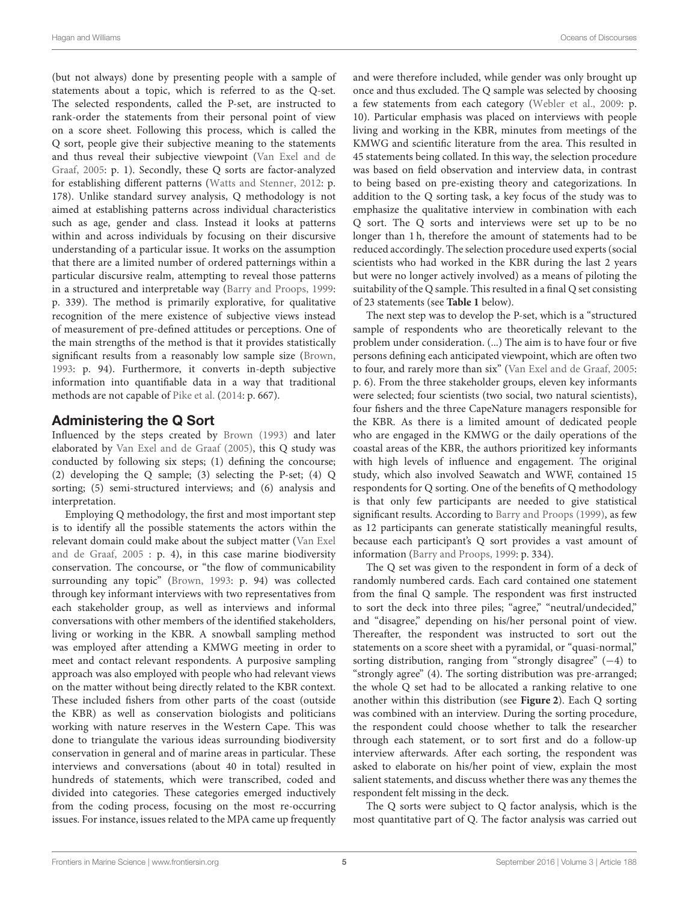(but not always) done by presenting people with a sample of statements about a topic, which is referred to as the Q-set. The selected respondents, called the P-set, are instructed to rank-order the statements from their personal point of view on a score sheet. Following this process, which is called the Q sort, people give their subjective meaning to the statements and thus reveal their subjective viewpoint (Van Exel and de Graaf, [2005:](#page-12-25) p. 1). Secondly, these Q sorts are factor-analyzed for establishing different patterns [\(Watts and Stenner, 2012:](#page-12-24) p. 178). Unlike standard survey analysis, Q methodology is not aimed at establishing patterns across individual characteristics such as age, gender and class. Instead it looks at patterns within and across individuals by focusing on their discursive understanding of a particular issue. It works on the assumption that there are a limited number of ordered patternings within a particular discursive realm, attempting to reveal those patterns in a structured and interpretable way [\(Barry and Proops, 1999:](#page-12-5) p. 339). The method is primarily explorative, for qualitative recognition of the mere existence of subjective views instead of measurement of pre-defined attitudes or perceptions. One of the main strengths of the method is that it provides statistically significant results from a reasonably low sample size [\(Brown,](#page-12-26) [1993:](#page-12-26) p. 94). Furthermore, it converts in-depth subjective information into quantifiable data in a way that traditional methods are not capable of [Pike et al.](#page-12-23) [\(2014:](#page-12-23) p. 667).

## Administering the Q Sort

Influenced by the steps created by [Brown \(1993\)](#page-12-26) and later elaborated by [Van Exel and de Graaf \(2005\)](#page-12-25), this Q study was conducted by following six steps; (1) defining the concourse; (2) developing the Q sample; (3) selecting the P-set; (4) Q sorting; (5) semi-structured interviews; and (6) analysis and interpretation.

Employing Q methodology, the first and most important step is to identify all the possible statements the actors within the relevant domain could make about the subject matter (Van Exel and de Graaf, [2005](#page-12-25) : p. 4), in this case marine biodiversity conservation. The concourse, or "the flow of communicability surrounding any topic" [\(Brown, 1993:](#page-12-26) p. 94) was collected through key informant interviews with two representatives from each stakeholder group, as well as interviews and informal conversations with other members of the identified stakeholders, living or working in the KBR. A snowball sampling method was employed after attending a KMWG meeting in order to meet and contact relevant respondents. A purposive sampling approach was also employed with people who had relevant views on the matter without being directly related to the KBR context. These included fishers from other parts of the coast (outside the KBR) as well as conservation biologists and politicians working with nature reserves in the Western Cape. This was done to triangulate the various ideas surrounding biodiversity conservation in general and of marine areas in particular. These interviews and conversations (about 40 in total) resulted in hundreds of statements, which were transcribed, coded and divided into categories. These categories emerged inductively from the coding process, focusing on the most re-occurring issues. For instance, issues related to the MPA came up frequently and were therefore included, while gender was only brought up once and thus excluded. The Q sample was selected by choosing a few statements from each category [\(Webler et al., 2009:](#page-12-17) p. 10). Particular emphasis was placed on interviews with people living and working in the KBR, minutes from meetings of the KMWG and scientific literature from the area. This resulted in 45 statements being collated. In this way, the selection procedure was based on field observation and interview data, in contrast to being based on pre-existing theory and categorizations. In addition to the Q sorting task, a key focus of the study was to emphasize the qualitative interview in combination with each Q sort. The Q sorts and interviews were set up to be no longer than 1 h, therefore the amount of statements had to be reduced accordingly. The selection procedure used experts (social scientists who had worked in the KBR during the last 2 years but were no longer actively involved) as a means of piloting the suitability of the Q sample. This resulted in a final Q set consisting of 23 statements (see **[Table 1](#page-5-0)** below).

The next step was to develop the P-set, which is a "structured sample of respondents who are theoretically relevant to the problem under consideration. (...) The aim is to have four or five persons defining each anticipated viewpoint, which are often two to four, and rarely more than six" [\(Van Exel and de Graaf, 2005:](#page-12-25) p. 6). From the three stakeholder groups, eleven key informants were selected; four scientists (two social, two natural scientists), four fishers and the three CapeNature managers responsible for the KBR. As there is a limited amount of dedicated people who are engaged in the KMWG or the daily operations of the coastal areas of the KBR, the authors prioritized key informants with high levels of influence and engagement. The original study, which also involved Seawatch and WWF, contained 15 respondents for Q sorting. One of the benefits of Q methodology is that only few participants are needed to give statistical significant results. According to [Barry and Proops \(1999\)](#page-12-5), as few as 12 participants can generate statistically meaningful results, because each participant's Q sort provides a vast amount of information [\(Barry and Proops, 1999:](#page-12-5) p. 334).

The Q set was given to the respondent in form of a deck of randomly numbered cards. Each card contained one statement from the final Q sample. The respondent was first instructed to sort the deck into three piles; "agree," "neutral/undecided," and "disagree," depending on his/her personal point of view. Thereafter, the respondent was instructed to sort out the statements on a score sheet with a pyramidal, or "quasi-normal," sorting distribution, ranging from "strongly disagree" (−4) to "strongly agree" (4). The sorting distribution was pre-arranged; the whole Q set had to be allocated a ranking relative to one another within this distribution (see **[Figure 2](#page-6-0)**). Each Q sorting was combined with an interview. During the sorting procedure, the respondent could choose whether to talk the researcher through each statement, or to sort first and do a follow-up interview afterwards. After each sorting, the respondent was asked to elaborate on his/her point of view, explain the most salient statements, and discuss whether there was any themes the respondent felt missing in the deck.

The Q sorts were subject to Q factor analysis, which is the most quantitative part of Q. The factor analysis was carried out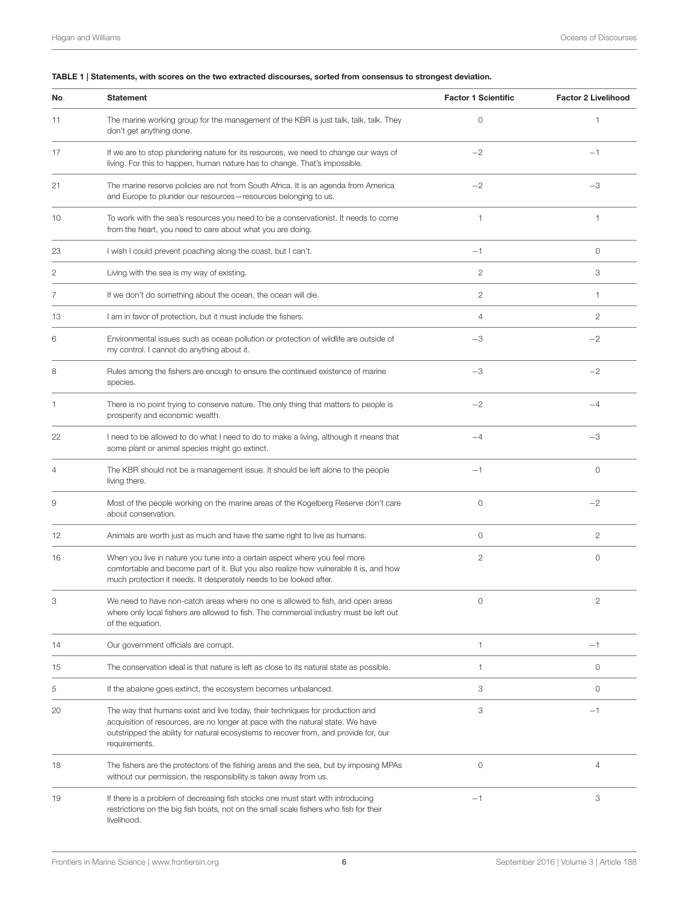#### <span id="page-5-0"></span>TABLE 1 | Statements, with scores on the two extracted discourses, sorted from consensus to strongest deviation.

| No. | <b>Statement</b>                                                                                                                                                                                                                                                          | <b>Factor 1 Scientific</b> | <b>Factor 2 Livelihood</b> |
|-----|---------------------------------------------------------------------------------------------------------------------------------------------------------------------------------------------------------------------------------------------------------------------------|----------------------------|----------------------------|
| 11  | The marine working group for the management of the KBR is just talk, talk, talk. They<br>don't get anything done.                                                                                                                                                         | $\circ$                    | 1                          |
| 17  | If we are to stop plundering nature for its resources, we need to change our ways of<br>living. For this to happen, human nature has to change. That's impossible.                                                                                                        | $-2$                       | $-1$                       |
| 21  | The marine reserve policies are not from South Africa. It is an agenda from America<br>and Europe to plunder our resources - resources belonging to us.                                                                                                                   | $-2$                       | $-3$                       |
| 10  | To work with the sea's resources you need to be a conservationist. It needs to come<br>from the heart, you need to care about what you are doing.                                                                                                                         | $\mathbf{1}$               | 1                          |
| 23  | I wish I could prevent poaching along the coast, but I can't.                                                                                                                                                                                                             | $-1$                       | $\circ$                    |
| 2   | Living with the sea is my way of existing.                                                                                                                                                                                                                                | $\overline{2}$             | 3                          |
| 7   | If we don't do something about the ocean, the ocean will die.                                                                                                                                                                                                             | $\mathbf{2}$               | 1                          |
| 13  | I am in favor of protection, but it must include the fishers.                                                                                                                                                                                                             | $\overline{4}$             | 2                          |
| 6   | Environmental issues such as ocean pollution or protection of wildlife are outside of<br>my control. I cannot do anything about it.                                                                                                                                       | $-3$                       | $-2$                       |
| 8   | Rules among the fishers are enough to ensure the continued existence of marine<br>species.                                                                                                                                                                                | $-3$                       | $-2$                       |
| 1   | There is no point trying to conserve nature. The only thing that matters to people is<br>prosperity and economic wealth.                                                                                                                                                  | $-2$                       | $-4$                       |
| 22  | I need to be allowed to do what I need to do to make a living, although it means that<br>some plant or animal species might go extinct.                                                                                                                                   | $-4$                       | $-3$                       |
| 4   | The KBR should not be a management issue. It should be left alone to the people<br>living there.                                                                                                                                                                          | $-1$                       | $\circ$                    |
| 9   | Most of the people working on the marine areas of the Kogelberg Reserve don't care<br>about conservation.                                                                                                                                                                 | $\circ$                    | $-2$                       |
| 12  | Animals are worth just as much and have the same right to live as humans.                                                                                                                                                                                                 | $\circ$                    | 2                          |
| 16  | When you live in nature you tune into a certain aspect where you feel more<br>comfortable and become part of it. But you also realize how vulnerable it is, and how<br>much protection it needs. It desperately needs to be looked after.                                 | $\overline{2}$             | 0                          |
| 3   | We need to have non-catch areas where no one is allowed to fish, and open areas<br>where only local fishers are allowed to fish. The commercial industry must be left out<br>of the equation.                                                                             | $\circ$                    | 2                          |
| 14  | Our government officials are corrupt.                                                                                                                                                                                                                                     | $\mathbf{1}$               | $-1$                       |
| 15  | The conservation ideal is that nature is left as close to its natural state as possible.                                                                                                                                                                                  | 1                          | 0                          |
| 5   | If the abalone goes extinct, the ecosystem becomes unbalanced.                                                                                                                                                                                                            | 3                          | $\circ$                    |
| 20  | The way that humans exist and live today, their techniques for production and<br>acquisition of resources, are no longer at pace with the natural state. We have<br>outstripped the ability for natural ecosystems to recover from, and provide for, our<br>requirements. | 3                          | $-1$                       |
| 18  | The fishers are the protectors of the fishing areas and the sea, but by imposing MPAs<br>without our permission, the responsibility is taken away from us.                                                                                                                | $\mathbb O$                | 4                          |
| 19  | If there is a problem of decreasing fish stocks one must start with introducing<br>restrictions on the big fish boats, not on the small scale fishers who fish for their<br>livelihood.                                                                                   | $-1$                       | 3                          |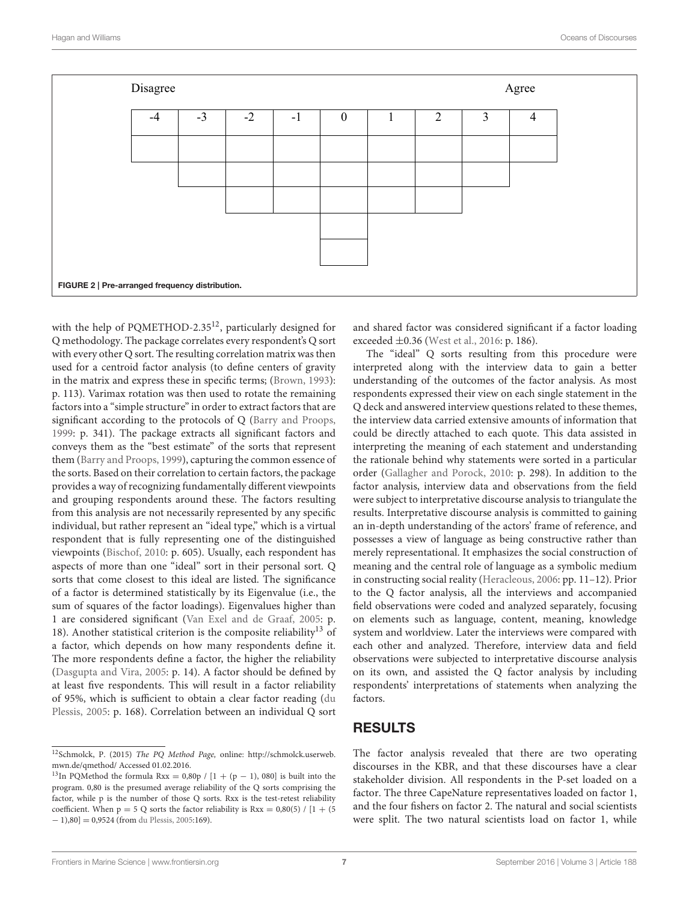| Disagree                                        | Agree |      |      |      |              |  |                |   |                |  |  |  |
|-------------------------------------------------|-------|------|------|------|--------------|--|----------------|---|----------------|--|--|--|
|                                                 | $-4$  | $-3$ | $-2$ | $-1$ | $\mathbf{0}$ |  | $\overline{2}$ | 3 | $\overline{4}$ |  |  |  |
|                                                 |       |      |      |      |              |  |                |   |                |  |  |  |
|                                                 |       |      |      |      |              |  |                |   |                |  |  |  |
|                                                 |       |      |      |      |              |  |                |   |                |  |  |  |
|                                                 |       |      |      |      |              |  |                |   |                |  |  |  |
|                                                 |       |      |      |      |              |  |                |   |                |  |  |  |
| FIGURE 2   Pre-arranged frequency distribution. |       |      |      |      |              |  |                |   |                |  |  |  |

<span id="page-6-0"></span>with the help of PQMETHOD-2.35<sup>[12](#page-6-1)</sup>, particularly designed for Q methodology. The package correlates every respondent's Q sort with every other Q sort. The resulting correlation matrix was then used for a centroid factor analysis (to define centers of gravity in the matrix and express these in specific terms; [\(Brown, 1993\)](#page-12-26): p. 113). Varimax rotation was then used to rotate the remaining factors into a "simple structure" in order to extract factors that are significant according to the protocols of Q [\(Barry and Proops,](#page-12-5) [1999:](#page-12-5) p. 341). The package extracts all significant factors and conveys them as the "best estimate" of the sorts that represent them [\(Barry and Proops, 1999\)](#page-12-5), capturing the common essence of the sorts. Based on their correlation to certain factors, the package provides a way of recognizing fundamentally different viewpoints and grouping respondents around these. The factors resulting from this analysis are not necessarily represented by any specific individual, but rather represent an "ideal type," which is a virtual respondent that is fully representing one of the distinguished viewpoints [\(Bischof, 2010:](#page-12-19) p. 605). Usually, each respondent has aspects of more than one "ideal" sort in their personal sort. Q sorts that come closest to this ideal are listed. The significance of a factor is determined statistically by its Eigenvalue (i.e., the sum of squares of the factor loadings). Eigenvalues higher than 1 are considered significant [\(Van Exel and de Graaf, 2005:](#page-12-25) p. 18). Another statistical criterion is the composite reliability<sup>[13](#page-6-2)</sup> of a factor, which depends on how many respondents define it. The more respondents define a factor, the higher the reliability [\(Dasgupta and Vira, 2005:](#page-12-16) p. 14). A factor should be defined by at least five respondents. This will result in a factor reliability of 95%, which is sufficient to obtain a clear factor reading (du Plessis, [2005:](#page-12-27) p. 168). Correlation between an individual Q sort

and shared factor was considered significant if a factor loading exceeded ±0.36 [\(West et al., 2016:](#page-12-20) p. 186).

The "ideal" Q sorts resulting from this procedure were interpreted along with the interview data to gain a better understanding of the outcomes of the factor analysis. As most respondents expressed their view on each single statement in the Q deck and answered interview questions related to these themes, the interview data carried extensive amounts of information that could be directly attached to each quote. This data assisted in interpreting the meaning of each statement and understanding the rationale behind why statements were sorted in a particular order [\(Gallagher and Porock, 2010:](#page-12-28) p. 298). In addition to the factor analysis, interview data and observations from the field were subject to interpretative discourse analysis to triangulate the results. Interpretative discourse analysis is committed to gaining an in-depth understanding of the actors' frame of reference, and possesses a view of language as being constructive rather than merely representational. It emphasizes the social construction of meaning and the central role of language as a symbolic medium in constructing social reality [\(Heracleous, 2006:](#page-12-29) pp. 11–12). Prior to the Q factor analysis, all the interviews and accompanied field observations were coded and analyzed separately, focusing on elements such as language, content, meaning, knowledge system and worldview. Later the interviews were compared with each other and analyzed. Therefore, interview data and field observations were subjected to interpretative discourse analysis on its own, and assisted the Q factor analysis by including respondents' interpretations of statements when analyzing the factors.

#### RESULTS

The factor analysis revealed that there are two operating discourses in the KBR, and that these discourses have a clear stakeholder division. All respondents in the P-set loaded on a factor. The three CapeNature representatives loaded on factor 1, and the four fishers on factor 2. The natural and social scientists were split. The two natural scientists load on factor 1, while

<span id="page-6-1"></span><sup>&</sup>lt;sup>12</sup>Schmolck, P. (2015) The PQ Method Page, online: [http://schmolck.userweb.](http://schmolck.userweb.mwn.de/qmethod/) [mwn.de/qmethod/](http://schmolck.userweb.mwn.de/qmethod/) Accessed 01.02.2016.

<span id="page-6-2"></span><sup>&</sup>lt;sup>13</sup>In PQMethod the formula Rxx = 0,80p / [1 + (p - 1), 080] is built into the program. 0,80 is the presumed average reliability of the Q sorts comprising the factor, while p is the number of those Q sorts. Rxx is the test-retest reliability coefficient. When  $p = 5$  Q sorts the factor reliability is Rxx = 0,80(5) / [1 + (5 − 1),80] = 0,9524 (from [du Plessis, 2005:](#page-12-27)169).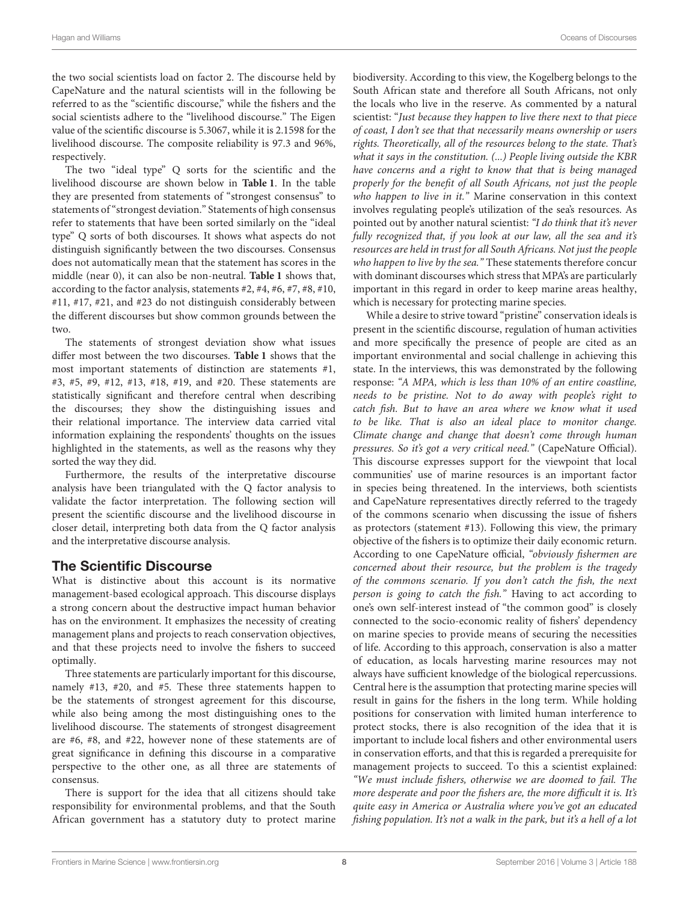the two social scientists load on factor 2. The discourse held by CapeNature and the natural scientists will in the following be referred to as the "scientific discourse," while the fishers and the social scientists adhere to the "livelihood discourse." The Eigen value of the scientific discourse is 5.3067, while it is 2.1598 for the livelihood discourse. The composite reliability is 97.3 and 96%, respectively.

The two "ideal type" Q sorts for the scientific and the livelihood discourse are shown below in **[Table 1](#page-5-0)**. In the table they are presented from statements of "strongest consensus" to statements of "strongest deviation." Statements of high consensus refer to statements that have been sorted similarly on the "ideal type" Q sorts of both discourses. It shows what aspects do not distinguish significantly between the two discourses. Consensus does not automatically mean that the statement has scores in the middle (near 0), it can also be non-neutral. **[Table 1](#page-5-0)** shows that, according to the factor analysis, statements #2, #4, #6, #7, #8, #10, #11, #17, #21, and #23 do not distinguish considerably between the different discourses but show common grounds between the two.

The statements of strongest deviation show what issues differ most between the two discourses. **[Table 1](#page-5-0)** shows that the most important statements of distinction are statements #1, #3, #5, #9, #12, #13, #18, #19, and #20. These statements are statistically significant and therefore central when describing the discourses; they show the distinguishing issues and their relational importance. The interview data carried vital information explaining the respondents' thoughts on the issues highlighted in the statements, as well as the reasons why they sorted the way they did.

Furthermore, the results of the interpretative discourse analysis have been triangulated with the Q factor analysis to validate the factor interpretation. The following section will present the scientific discourse and the livelihood discourse in closer detail, interpreting both data from the Q factor analysis and the interpretative discourse analysis.

#### The Scientific Discourse

What is distinctive about this account is its normative management-based ecological approach. This discourse displays a strong concern about the destructive impact human behavior has on the environment. It emphasizes the necessity of creating management plans and projects to reach conservation objectives, and that these projects need to involve the fishers to succeed optimally.

Three statements are particularly important for this discourse, namely #13, #20, and #5. These three statements happen to be the statements of strongest agreement for this discourse, while also being among the most distinguishing ones to the livelihood discourse. The statements of strongest disagreement are #6, #8, and #22, however none of these statements are of great significance in defining this discourse in a comparative perspective to the other one, as all three are statements of consensus.

There is support for the idea that all citizens should take responsibility for environmental problems, and that the South African government has a statutory duty to protect marine

biodiversity. According to this view, the Kogelberg belongs to the South African state and therefore all South Africans, not only the locals who live in the reserve. As commented by a natural scientist: "Just because they happen to live there next to that piece of coast, I don't see that that necessarily means ownership or users rights. Theoretically, all of the resources belong to the state. That's what it says in the constitution. (...) People living outside the KBR have concerns and a right to know that that is being managed properly for the benefit of all South Africans, not just the people who happen to live in it." Marine conservation in this context involves regulating people's utilization of the sea's resources. As pointed out by another natural scientist: "I do think that it's never fully recognized that, if you look at our law, all the sea and it's resources are held in trust for all South Africans. Not just the people who happen to live by the sea." These statements therefore concur with dominant discourses which stress that MPA's are particularly important in this regard in order to keep marine areas healthy, which is necessary for protecting marine species.

While a desire to strive toward "pristine" conservation ideals is present in the scientific discourse, regulation of human activities and more specifically the presence of people are cited as an important environmental and social challenge in achieving this state. In the interviews, this was demonstrated by the following response: "A MPA, which is less than 10% of an entire coastline, needs to be pristine. Not to do away with people's right to catch fish. But to have an area where we know what it used to be like. That is also an ideal place to monitor change. Climate change and change that doesn't come through human pressures. So it's got a very critical need." (CapeNature Official). This discourse expresses support for the viewpoint that local communities' use of marine resources is an important factor in species being threatened. In the interviews, both scientists and CapeNature representatives directly referred to the tragedy of the commons scenario when discussing the issue of fishers as protectors (statement #13). Following this view, the primary objective of the fishers is to optimize their daily economic return. According to one CapeNature official, "obviously fishermen are concerned about their resource, but the problem is the tragedy of the commons scenario. If you don't catch the fish, the next person is going to catch the fish." Having to act according to one's own self-interest instead of "the common good" is closely connected to the socio-economic reality of fishers' dependency on marine species to provide means of securing the necessities of life. According to this approach, conservation is also a matter of education, as locals harvesting marine resources may not always have sufficient knowledge of the biological repercussions. Central here is the assumption that protecting marine species will result in gains for the fishers in the long term. While holding positions for conservation with limited human interference to protect stocks, there is also recognition of the idea that it is important to include local fishers and other environmental users in conservation efforts, and that this is regarded a prerequisite for management projects to succeed. To this a scientist explained: "We must include fishers, otherwise we are doomed to fail. The more desperate and poor the fishers are, the more difficult it is. It's quite easy in America or Australia where you've got an educated fishing population. It's not a walk in the park, but it's a hell of a lot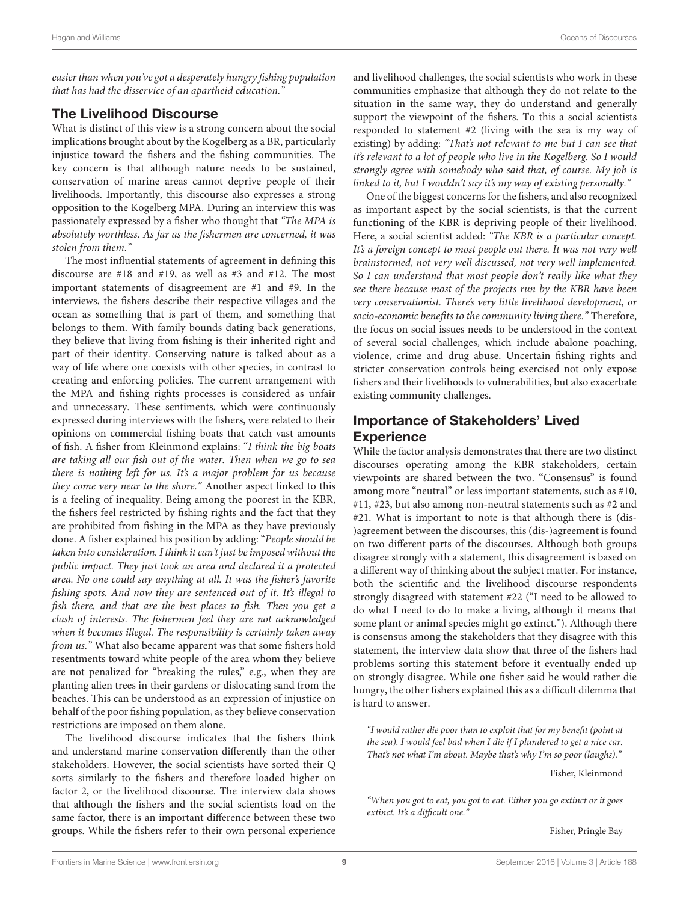easier than when you've got a desperately hungry fishing population that has had the disservice of an apartheid education."

#### The Livelihood Discourse

What is distinct of this view is a strong concern about the social implications brought about by the Kogelberg as a BR, particularly injustice toward the fishers and the fishing communities. The key concern is that although nature needs to be sustained, conservation of marine areas cannot deprive people of their livelihoods. Importantly, this discourse also expresses a strong opposition to the Kogelberg MPA. During an interview this was passionately expressed by a fisher who thought that "The MPA is absolutely worthless. As far as the fishermen are concerned, it was stolen from them."

The most influential statements of agreement in defining this discourse are #18 and #19, as well as #3 and #12. The most important statements of disagreement are #1 and #9. In the interviews, the fishers describe their respective villages and the ocean as something that is part of them, and something that belongs to them. With family bounds dating back generations, they believe that living from fishing is their inherited right and part of their identity. Conserving nature is talked about as a way of life where one coexists with other species, in contrast to creating and enforcing policies. The current arrangement with the MPA and fishing rights processes is considered as unfair and unnecessary. These sentiments, which were continuously expressed during interviews with the fishers, were related to their opinions on commercial fishing boats that catch vast amounts of fish. A fisher from Kleinmond explains: "I think the big boats are taking all our fish out of the water. Then when we go to sea there is nothing left for us. It's a major problem for us because they come very near to the shore." Another aspect linked to this is a feeling of inequality. Being among the poorest in the KBR, the fishers feel restricted by fishing rights and the fact that they are prohibited from fishing in the MPA as they have previously done. A fisher explained his position by adding: "People should be taken into consideration. I think it can't just be imposed without the public impact. They just took an area and declared it a protected area. No one could say anything at all. It was the fisher's favorite fishing spots. And now they are sentenced out of it. It's illegal to fish there, and that are the best places to fish. Then you get a clash of interests. The fishermen feel they are not acknowledged when it becomes illegal. The responsibility is certainly taken away from us." What also became apparent was that some fishers hold resentments toward white people of the area whom they believe are not penalized for "breaking the rules," e.g., when they are planting alien trees in their gardens or dislocating sand from the beaches. This can be understood as an expression of injustice on behalf of the poor fishing population, as they believe conservation restrictions are imposed on them alone.

The livelihood discourse indicates that the fishers think and understand marine conservation differently than the other stakeholders. However, the social scientists have sorted their Q sorts similarly to the fishers and therefore loaded higher on factor 2, or the livelihood discourse. The interview data shows that although the fishers and the social scientists load on the same factor, there is an important difference between these two groups. While the fishers refer to their own personal experience and livelihood challenges, the social scientists who work in these communities emphasize that although they do not relate to the situation in the same way, they do understand and generally support the viewpoint of the fishers. To this a social scientists responded to statement #2 (living with the sea is my way of existing) by adding: "That's not relevant to me but I can see that it's relevant to a lot of people who live in the Kogelberg. So I would strongly agree with somebody who said that, of course. My job is linked to it, but I wouldn't say it's my way of existing personally."

One of the biggest concerns for the fishers, and also recognized as important aspect by the social scientists, is that the current functioning of the KBR is depriving people of their livelihood. Here, a social scientist added: "The KBR is a particular concept. It's a foreign concept to most people out there. It was not very well brainstormed, not very well discussed, not very well implemented. So I can understand that most people don't really like what they see there because most of the projects run by the KBR have been very conservationist. There's very little livelihood development, or socio-economic benefits to the community living there." Therefore, the focus on social issues needs to be understood in the context of several social challenges, which include abalone poaching, violence, crime and drug abuse. Uncertain fishing rights and stricter conservation controls being exercised not only expose fishers and their livelihoods to vulnerabilities, but also exacerbate existing community challenges.

## Importance of Stakeholders' Lived **Experience**

While the factor analysis demonstrates that there are two distinct discourses operating among the KBR stakeholders, certain viewpoints are shared between the two. "Consensus" is found among more "neutral" or less important statements, such as #10, #11, #23, but also among non-neutral statements such as #2 and #21. What is important to note is that although there is (dis- )agreement between the discourses, this (dis-)agreement is found on two different parts of the discourses. Although both groups disagree strongly with a statement, this disagreement is based on a different way of thinking about the subject matter. For instance, both the scientific and the livelihood discourse respondents strongly disagreed with statement #22 ("I need to be allowed to do what I need to do to make a living, although it means that some plant or animal species might go extinct."). Although there is consensus among the stakeholders that they disagree with this statement, the interview data show that three of the fishers had problems sorting this statement before it eventually ended up on strongly disagree. While one fisher said he would rather die hungry, the other fishers explained this as a difficult dilemma that is hard to answer.

"I would rather die poor than to exploit that for my benefit (point at the sea). I would feel bad when I die if I plundered to get a nice car. That's not what I'm about. Maybe that's why I'm so poor (laughs)."

Fisher, Kleinmond

"When you got to eat, you got to eat. Either you go extinct or it goes extinct. It's a difficult one."

Fisher, Pringle Bay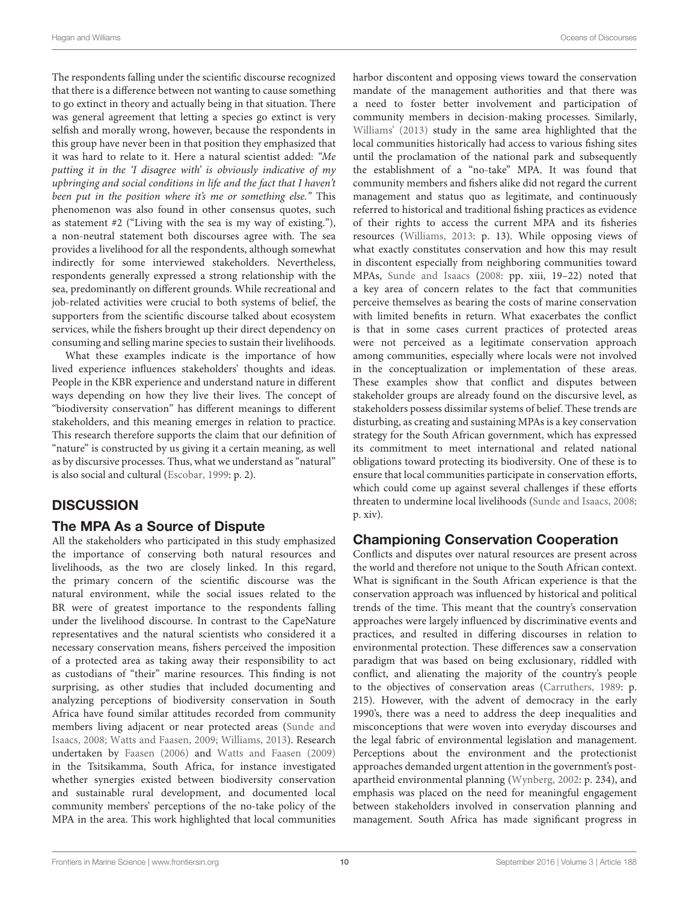The respondents falling under the scientific discourse recognized that there is a difference between not wanting to cause something to go extinct in theory and actually being in that situation. There was general agreement that letting a species go extinct is very selfish and morally wrong, however, because the respondents in this group have never been in that position they emphasized that it was hard to relate to it. Here a natural scientist added: "Me putting it in the 'I disagree with' is obviously indicative of my upbringing and social conditions in life and the fact that I haven't been put in the position where it's me or something else." This phenomenon was also found in other consensus quotes, such as statement #2 ("Living with the sea is my way of existing."), a non-neutral statement both discourses agree with. The sea provides a livelihood for all the respondents, although somewhat indirectly for some interviewed stakeholders. Nevertheless, respondents generally expressed a strong relationship with the sea, predominantly on different grounds. While recreational and job-related activities were crucial to both systems of belief, the supporters from the scientific discourse talked about ecosystem services, while the fishers brought up their direct dependency on consuming and selling marine species to sustain their livelihoods.

What these examples indicate is the importance of how lived experience influences stakeholders' thoughts and ideas. People in the KBR experience and understand nature in different ways depending on how they live their lives. The concept of "biodiversity conservation" has different meanings to different stakeholders, and this meaning emerges in relation to practice. This research therefore supports the claim that our definition of "nature" is constructed by us giving it a certain meaning, as well as by discursive processes. Thus, what we understand as "natural" is also social and cultural [\(Escobar, 1999:](#page-12-30) p. 2).

## **DISCUSSION**

#### The MPA As a Source of Dispute

All the stakeholders who participated in this study emphasized the importance of conserving both natural resources and livelihoods, as the two are closely linked. In this regard, the primary concern of the scientific discourse was the natural environment, while the social issues related to the BR were of greatest importance to the respondents falling under the livelihood discourse. In contrast to the CapeNature representatives and the natural scientists who considered it a necessary conservation means, fishers perceived the imposition of a protected area as taking away their responsibility to act as custodians of "their" marine resources. This finding is not surprising, as other studies that included documenting and analyzing perceptions of biodiversity conservation in South Africa have found similar attitudes recorded from community members living adjacent or near protected areas (Sunde and Isaacs, [2008;](#page-12-31) [Watts and Faasen, 2009;](#page-12-32) [Williams, 2013\)](#page-12-33). Research undertaken by [Faasen \(2006\)](#page-12-34) and [Watts and Faasen \(2009\)](#page-12-32) in the Tsitsikamma, South Africa, for instance investigated whether synergies existed between biodiversity conservation and sustainable rural development, and documented local community members' perceptions of the no-take policy of the MPA in the area. This work highlighted that local communities harbor discontent and opposing views toward the conservation mandate of the management authorities and that there was a need to foster better involvement and participation of community members in decision-making processes. Similarly, [Williams' \(2013\)](#page-12-33) study in the same area highlighted that the local communities historically had access to various fishing sites until the proclamation of the national park and subsequently the establishment of a "no-take" MPA. It was found that community members and fishers alike did not regard the current management and status quo as legitimate, and continuously referred to historical and traditional fishing practices as evidence of their rights to access the current MPA and its fisheries resources [\(Williams, 2013:](#page-12-33) p. 13). While opposing views of what exactly constitutes conservation and how this may result in discontent especially from neighboring communities toward MPAs, [Sunde and Isaacs](#page-12-31) [\(2008:](#page-12-31) pp. xiii, 19–22) noted that a key area of concern relates to the fact that communities perceive themselves as bearing the costs of marine conservation with limited benefits in return. What exacerbates the conflict is that in some cases current practices of protected areas were not perceived as a legitimate conservation approach among communities, especially where locals were not involved in the conceptualization or implementation of these areas. These examples show that conflict and disputes between stakeholder groups are already found on the discursive level, as stakeholders possess dissimilar systems of belief. These trends are disturbing, as creating and sustaining MPAs is a key conservation strategy for the South African government, which has expressed its commitment to meet international and related national obligations toward protecting its biodiversity. One of these is to ensure that local communities participate in conservation efforts, which could come up against several challenges if these efforts threaten to undermine local livelihoods [\(Sunde and Isaacs, 2008:](#page-12-31) p. xiv).

#### Championing Conservation Cooperation

Conflicts and disputes over natural resources are present across the world and therefore not unique to the South African context. What is significant in the South African experience is that the conservation approach was influenced by historical and political trends of the time. This meant that the country's conservation approaches were largely influenced by discriminative events and practices, and resulted in differing discourses in relation to environmental protection. These differences saw a conservation paradigm that was based on being exclusionary, riddled with conflict, and alienating the majority of the country's people to the objectives of conservation areas [\(Carruthers, 1989:](#page-12-35) p. 215). However, with the advent of democracy in the early 1990's, there was a need to address the deep inequalities and misconceptions that were woven into everyday discourses and the legal fabric of environmental legislation and management. Perceptions about the environment and the protectionist approaches demanded urgent attention in the government's postapartheid environmental planning [\(Wynberg, 2002:](#page-12-36) p. 234), and emphasis was placed on the need for meaningful engagement between stakeholders involved in conservation planning and management. South Africa has made significant progress in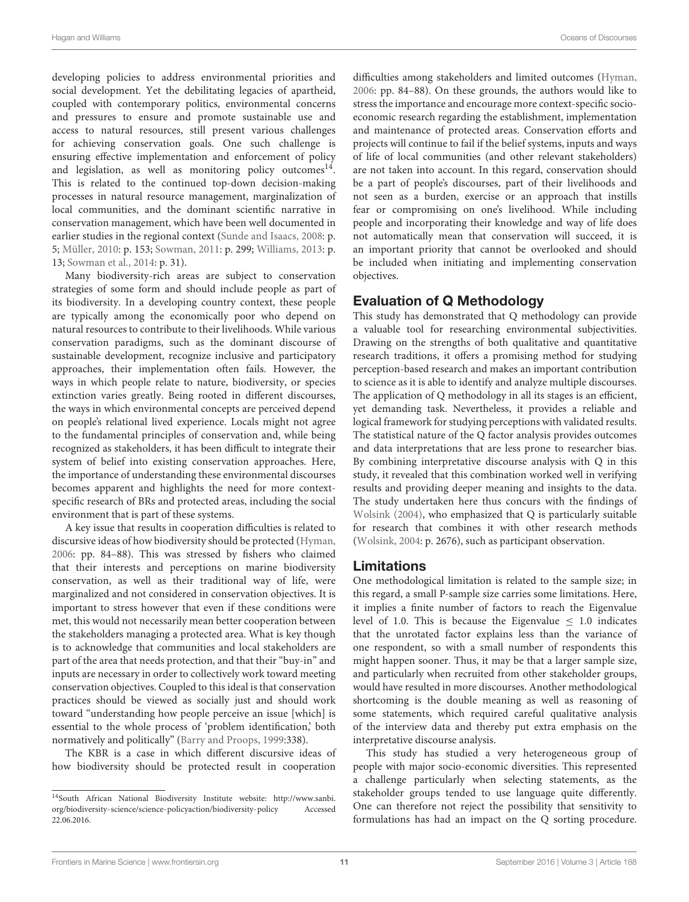developing policies to address environmental priorities and social development. Yet the debilitating legacies of apartheid, coupled with contemporary politics, environmental concerns and pressures to ensure and promote sustainable use and access to natural resources, still present various challenges for achieving conservation goals. One such challenge is ensuring effective implementation and enforcement of policy and legislation, as well as monitoring policy outcomes<sup>[14](#page-10-0)</sup>. This is related to the continued top-down decision-making processes in natural resource management, marginalization of local communities, and the dominant scientific narrative in conservation management, which have been well documented in earlier studies in the regional context [\(Sunde and Isaacs, 2008:](#page-12-31) p. 5; [Müller, 2010:](#page-12-12) p. 153; [Sowman, 2011:](#page-12-37) p. 299; [Williams, 2013:](#page-12-33) p. 13; [Sowman et al., 2014:](#page-12-38) p. 31).

Many biodiversity-rich areas are subject to conservation strategies of some form and should include people as part of its biodiversity. In a developing country context, these people are typically among the economically poor who depend on natural resources to contribute to their livelihoods. While various conservation paradigms, such as the dominant discourse of sustainable development, recognize inclusive and participatory approaches, their implementation often fails. However, the ways in which people relate to nature, biodiversity, or species extinction varies greatly. Being rooted in different discourses, the ways in which environmental concepts are perceived depend on people's relational lived experience. Locals might not agree to the fundamental principles of conservation and, while being recognized as stakeholders, it has been difficult to integrate their system of belief into existing conservation approaches. Here, the importance of understanding these environmental discourses becomes apparent and highlights the need for more contextspecific research of BRs and protected areas, including the social environment that is part of these systems.

A key issue that results in cooperation difficulties is related to discursive ideas of how biodiversity should be protected [\(Hyman,](#page-12-3) [2006:](#page-12-3) pp. 84–88). This was stressed by fishers who claimed that their interests and perceptions on marine biodiversity conservation, as well as their traditional way of life, were marginalized and not considered in conservation objectives. It is important to stress however that even if these conditions were met, this would not necessarily mean better cooperation between the stakeholders managing a protected area. What is key though is to acknowledge that communities and local stakeholders are part of the area that needs protection, and that their "buy-in" and inputs are necessary in order to collectively work toward meeting conservation objectives. Coupled to this ideal is that conservation practices should be viewed as socially just and should work toward "understanding how people perceive an issue [which] is essential to the whole process of 'problem identification,' both normatively and politically" [\(Barry and Proops, 1999:](#page-12-5)338).

The KBR is a case in which different discursive ideas of how biodiversity should be protected result in cooperation

difficulties among stakeholders and limited outcomes [\(Hyman,](#page-12-3) [2006:](#page-12-3) pp. 84–88). On these grounds, the authors would like to stress the importance and encourage more context-specific socioeconomic research regarding the establishment, implementation and maintenance of protected areas. Conservation efforts and projects will continue to fail if the belief systems, inputs and ways of life of local communities (and other relevant stakeholders) are not taken into account. In this regard, conservation should be a part of people's discourses, part of their livelihoods and not seen as a burden, exercise or an approach that instills fear or compromising on one's livelihood. While including people and incorporating their knowledge and way of life does not automatically mean that conservation will succeed, it is an important priority that cannot be overlooked and should be included when initiating and implementing conservation objectives.

## Evaluation of Q Methodology

This study has demonstrated that Q methodology can provide a valuable tool for researching environmental subjectivities. Drawing on the strengths of both qualitative and quantitative research traditions, it offers a promising method for studying perception-based research and makes an important contribution to science as it is able to identify and analyze multiple discourses. The application of Q methodology in all its stages is an efficient, yet demanding task. Nevertheless, it provides a reliable and logical framework for studying perceptions with validated results. The statistical nature of the Q factor analysis provides outcomes and data interpretations that are less prone to researcher bias. By combining interpretative discourse analysis with Q in this study, it revealed that this combination worked well in verifying results and providing deeper meaning and insights to the data. The study undertaken here thus concurs with the findings of [Wolsink \(2004\)](#page-12-39), who emphasized that Q is particularly suitable for research that combines it with other research methods [\(Wolsink, 2004:](#page-12-39) p. 2676), such as participant observation.

#### Limitations

One methodological limitation is related to the sample size; in this regard, a small P-sample size carries some limitations. Here, it implies a finite number of factors to reach the Eigenvalue level of 1.0. This is because the Eigenvalue  $\leq$  1.0 indicates that the unrotated factor explains less than the variance of one respondent, so with a small number of respondents this might happen sooner. Thus, it may be that a larger sample size, and particularly when recruited from other stakeholder groups, would have resulted in more discourses. Another methodological shortcoming is the double meaning as well as reasoning of some statements, which required careful qualitative analysis of the interview data and thereby put extra emphasis on the interpretative discourse analysis.

This study has studied a very heterogeneous group of people with major socio-economic diversities. This represented a challenge particularly when selecting statements, as the stakeholder groups tended to use language quite differently. One can therefore not reject the possibility that sensitivity to formulations has had an impact on the Q sorting procedure.

<span id="page-10-0"></span><sup>14</sup>South African National Biodiversity Institute website: [http://www.sanbi.](http://www.sanbi.org/biodiversity-science/science-policyaction/biodiversity-policy) [org/biodiversity-science/science-policyaction/biodiversity-policy](http://www.sanbi.org/biodiversity-science/science-policyaction/biodiversity-policy) Accessed 22.06.2016.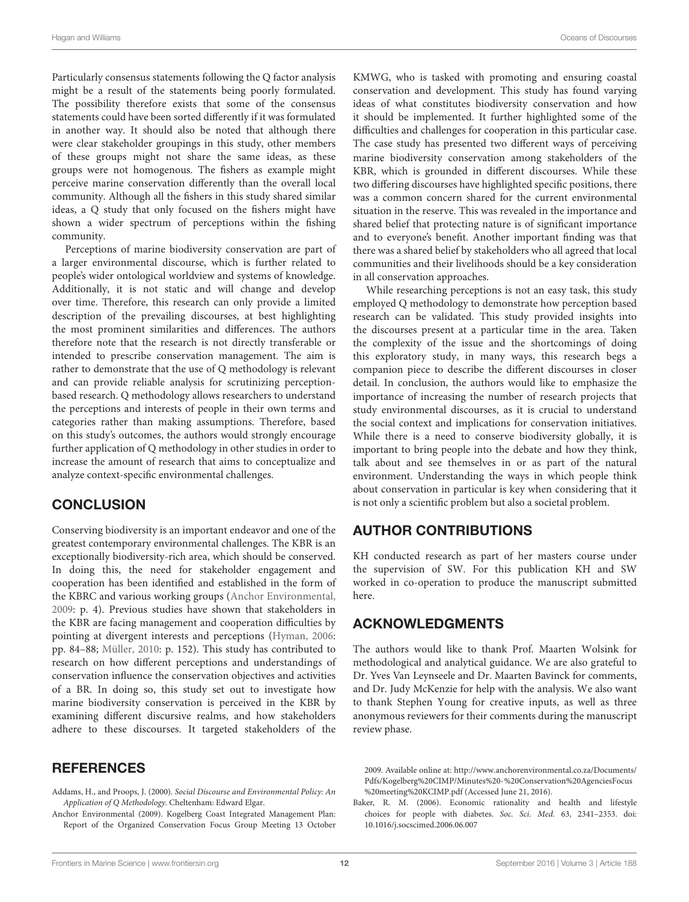Particularly consensus statements following the Q factor analysis might be a result of the statements being poorly formulated. The possibility therefore exists that some of the consensus statements could have been sorted differently if it was formulated in another way. It should also be noted that although there were clear stakeholder groupings in this study, other members of these groups might not share the same ideas, as these groups were not homogenous. The fishers as example might perceive marine conservation differently than the overall local community. Although all the fishers in this study shared similar ideas, a Q study that only focused on the fishers might have shown a wider spectrum of perceptions within the fishing community.

Perceptions of marine biodiversity conservation are part of a larger environmental discourse, which is further related to people's wider ontological worldview and systems of knowledge. Additionally, it is not static and will change and develop over time. Therefore, this research can only provide a limited description of the prevailing discourses, at best highlighting the most prominent similarities and differences. The authors therefore note that the research is not directly transferable or intended to prescribe conservation management. The aim is rather to demonstrate that the use of Q methodology is relevant and can provide reliable analysis for scrutinizing perceptionbased research. Q methodology allows researchers to understand the perceptions and interests of people in their own terms and categories rather than making assumptions. Therefore, based on this study's outcomes, the authors would strongly encourage further application of Q methodology in other studies in order to increase the amount of research that aims to conceptualize and analyze context-specific environmental challenges.

#### **CONCLUSION**

Conserving biodiversity is an important endeavor and one of the greatest contemporary environmental challenges. The KBR is an exceptionally biodiversity-rich area, which should be conserved. In doing this, the need for stakeholder engagement and cooperation has been identified and established in the form of the KBRC and various working groups [\(Anchor Environmental,](#page-11-0) [2009:](#page-11-0) p. 4). Previous studies have shown that stakeholders in the KBR are facing management and cooperation difficulties by pointing at divergent interests and perceptions [\(Hyman, 2006:](#page-12-3) pp. 84–88; [Müller, 2010:](#page-12-12) p. 152). This study has contributed to research on how different perceptions and understandings of conservation influence the conservation objectives and activities of a BR. In doing so, this study set out to investigate how marine biodiversity conservation is perceived in the KBR by examining different discursive realms, and how stakeholders adhere to these discourses. It targeted stakeholders of the

#### **REFERENCES**

<span id="page-11-2"></span>Addams, H., and Proops, J. (2000). Social Discourse and Environmental Policy: An Application of Q Methodology. Cheltenham: Edward Elgar.

<span id="page-11-0"></span>Anchor Environmental (2009). Kogelberg Coast Integrated Management Plan: Report of the Organized Conservation Focus Group Meeting 13 October KMWG, who is tasked with promoting and ensuring coastal conservation and development. This study has found varying ideas of what constitutes biodiversity conservation and how it should be implemented. It further highlighted some of the difficulties and challenges for cooperation in this particular case. The case study has presented two different ways of perceiving marine biodiversity conservation among stakeholders of the KBR, which is grounded in different discourses. While these two differing discourses have highlighted specific positions, there was a common concern shared for the current environmental situation in the reserve. This was revealed in the importance and shared belief that protecting nature is of significant importance and to everyone's benefit. Another important finding was that there was a shared belief by stakeholders who all agreed that local communities and their livelihoods should be a key consideration in all conservation approaches.

While researching perceptions is not an easy task, this study employed Q methodology to demonstrate how perception based research can be validated. This study provided insights into the discourses present at a particular time in the area. Taken the complexity of the issue and the shortcomings of doing this exploratory study, in many ways, this research begs a companion piece to describe the different discourses in closer detail. In conclusion, the authors would like to emphasize the importance of increasing the number of research projects that study environmental discourses, as it is crucial to understand the social context and implications for conservation initiatives. While there is a need to conserve biodiversity globally, it is important to bring people into the debate and how they think, talk about and see themselves in or as part of the natural environment. Understanding the ways in which people think about conservation in particular is key when considering that it is not only a scientific problem but also a societal problem.

## AUTHOR CONTRIBUTIONS

KH conducted research as part of her masters course under the supervision of SW. For this publication KH and SW worked in co-operation to produce the manuscript submitted here.

#### ACKNOWLEDGMENTS

The authors would like to thank Prof. Maarten Wolsink for methodological and analytical guidance. We are also grateful to Dr. Yves Van Leynseele and Dr. Maarten Bavinck for comments, and Dr. Judy McKenzie for help with the analysis. We also want to thank Stephen Young for creative inputs, as well as three anonymous reviewers for their comments during the manuscript review phase.

2009. Available online at: [http://www.anchorenvironmental.co.za/Documents/](http://www.anchorenvironmental.co.za/Documents/Pdfs/Kogelberg%20CIMP/Minutes%20-%20Conservation%20AgenciesFocus%20meeting%20KCIMP.pdf) [Pdfs/Kogelberg%20CIMP/Minutes%20-%20Conservation%20AgenciesFocus](http://www.anchorenvironmental.co.za/Documents/Pdfs/Kogelberg%20CIMP/Minutes%20-%20Conservation%20AgenciesFocus%20meeting%20KCIMP.pdf) [%20meeting%20KCIMP.pdf](http://www.anchorenvironmental.co.za/Documents/Pdfs/Kogelberg%20CIMP/Minutes%20-%20Conservation%20AgenciesFocus%20meeting%20KCIMP.pdf) (Accessed June 21, 2016).

<span id="page-11-1"></span>Baker, R. M. (2006). Economic rationality and health and lifestyle choices for people with diabetes. Soc. Sci. Med. 63, 2341–2353. doi: 10.1016/j.socscimed.2006.06.007